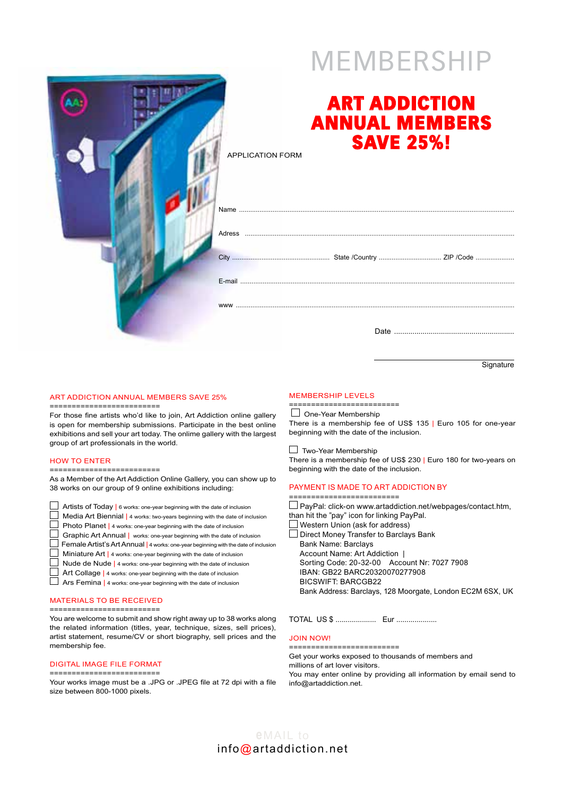# **MEMBERSHIP**

| <b>APPLICATION FORM</b> | <b>ART ADDICTION</b><br><b>ANNUAL MEMBERS</b><br><b>SAVE 25%!</b> |  |
|-------------------------|-------------------------------------------------------------------|--|
|                         |                                                                   |  |
|                         |                                                                   |  |
|                         |                                                                   |  |
|                         |                                                                   |  |
|                         |                                                                   |  |
|                         |                                                                   |  |

**Signature** 

#### Art Addiction Annual Members Save 25%

=========================

For those fine artists who'd like to join, Art Addiction online gallery is open for membership submissions. Participate in the best online exhibitions and sell your art today. The onlime gallery with the largest group of art professionals in the world.

#### How to enter

=========================

As a Member of the Art Addiction Online Gallery, you can show up to 38 works on our group of 9 online exhibitions including:

| Artists of Today   6 works: one-year beginning with the date of inclusion           |
|-------------------------------------------------------------------------------------|
| Media Art Biennial   4 works: two-years beginning with the date of inclusion        |
| Photo Planet   4 works: one-year beginning with the date of inclusion               |
| Graphic Art Annual   works: one-year beginning with the date of inclusion           |
| Female Artist's Art Annual   4 works: one-year beginning with the date of inclusion |
| Miniature Art   4 works: one-year beginning with the date of inclusion              |
| Nude de Nude   4 works: one-year beginning with the date of inclusion               |
| Art Collage   4 works: one-year beginning with the date of inclusion                |
| Ars Femina   4 works: one-year beginning with the date of inclusion                 |

#### Materials to be received

=========================

You are welcome to submit and show right away up to 38 works along the related information (titles, year, technique, sizes, sell prices), artist statement, resume/CV or short biography, sell prices and the membership fee.

## Digital Image file format

========================= Your works image must be a .JPG or .JPEG file at 72 dpi with a file size between 800-1000 pixels.

### Membership levels

========================  $\Box$  One-Year Membership There is a membership fee of US\$ 135 | Euro 105 for one-year beginning with the date of the inclusion.

Two-Year Membership

There is a membership fee of US\$ 230 | Euro 180 for two-years on beginning with the date of the inclusion.

#### Payment is made to Art Addiction by

========================= PayPal: click-on www.artaddiction.net/webpages/contact.htm, than hit the "pay" icon for linking PayPal. Western Union (ask for address) Direct Money Transfer to Barclays Bank Bank Name: Barclays Account Name: Art Addiction | Sorting Code: 20-32-00 Account Nr: 7027 7908 IBAN: GB22 BARC20320070277908 BICSWIFT: BARCGB22

Bank Address: Barclays, 128 Moorgate, London EC2M 6SX, UK

TOTAL US \$ .................... Eur ....................

#### Join now! =========================

Get your works exposed to thousands of members and

millions of art lover visitors.

You may enter online by providing all information by email send to info@artaddiction.net.